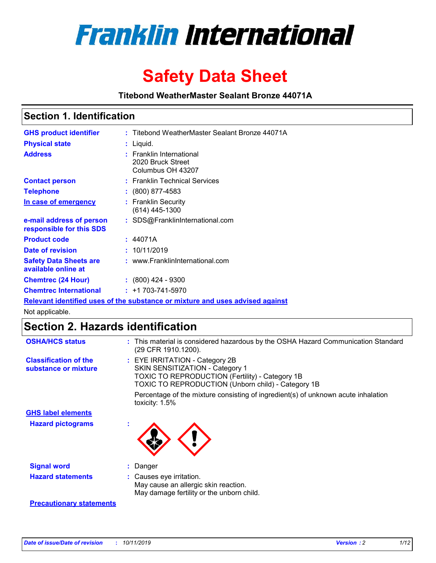

# **Safety Data Sheet**

**Titebond WeatherMaster Sealant Bronze 44071A**

### **Section 1. Identification**

| <b>GHS product identifier</b>                        | : Titebond WeatherMaster Sealant Bronze 44071A                                |
|------------------------------------------------------|-------------------------------------------------------------------------------|
| <b>Physical state</b>                                | : Liquid.                                                                     |
| <b>Address</b>                                       | : Franklin International<br>2020 Bruck Street<br>Columbus OH 43207            |
| <b>Contact person</b>                                | : Franklin Technical Services                                                 |
| <b>Telephone</b>                                     | $\colon$ (800) 877-4583                                                       |
| In case of emergency                                 | : Franklin Security<br>$(614)$ 445-1300                                       |
| e-mail address of person<br>responsible for this SDS | : SDS@FranklinInternational.com                                               |
| <b>Product code</b>                                  | : 44071A                                                                      |
| Date of revision                                     | : 10/11/2019                                                                  |
| <b>Safety Data Sheets are</b><br>available online at | : www.FranklinInternational.com                                               |
| <b>Chemtrec (24 Hour)</b>                            | $: (800)$ 424 - 9300                                                          |
| <b>Chemtrec International</b>                        | $: +1703 - 741 - 5970$                                                        |
|                                                      | Relevant identified uses of the substance or mixture and uses advised against |

Not applicable.

## **Section 2. Hazards identification**

| <b>OSHA/HCS status</b>                               | : This material is considered hazardous by the OSHA Hazard Communication Standard<br>(29 CFR 1910.1200).                                                                          |
|------------------------------------------------------|-----------------------------------------------------------------------------------------------------------------------------------------------------------------------------------|
| <b>Classification of the</b><br>substance or mixture | : EYE IRRITATION - Category 2B<br>SKIN SENSITIZATION - Category 1<br><b>TOXIC TO REPRODUCTION (Fertility) - Category 1B</b><br>TOXIC TO REPRODUCTION (Unborn child) - Category 1B |
|                                                      | Percentage of the mixture consisting of ingredient(s) of unknown acute inhalation<br>toxicity: $1.5\%$                                                                            |
| <b>GHS label elements</b>                            |                                                                                                                                                                                   |
| <b>Hazard pictograms</b>                             |                                                                                                                                                                                   |
| <b>Signal word</b>                                   | : Danger                                                                                                                                                                          |
| <b>Hazard statements</b>                             | : Causes eye irritation.<br>May cause an allergic skin reaction.<br>May damage fertility or the unborn child.                                                                     |
| <b>Precautionary statements</b>                      |                                                                                                                                                                                   |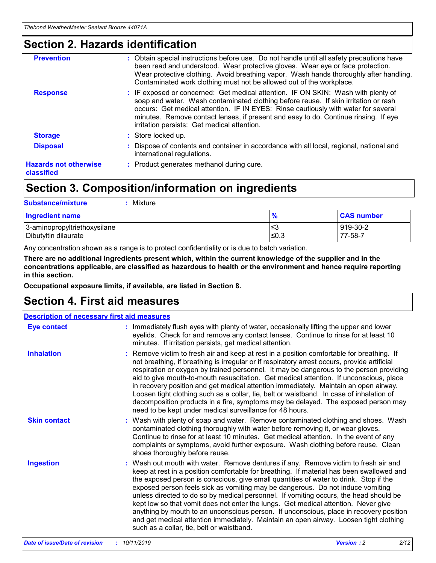### **Section 2. Hazards identification**

| <b>Prevention</b>                          | : Obtain special instructions before use. Do not handle until all safety precautions have<br>been read and understood. Wear protective gloves. Wear eye or face protection.<br>Wear protective clothing. Avoid breathing vapor. Wash hands thoroughly after handling.<br>Contaminated work clothing must not be allowed out of the workplace.                                                        |
|--------------------------------------------|------------------------------------------------------------------------------------------------------------------------------------------------------------------------------------------------------------------------------------------------------------------------------------------------------------------------------------------------------------------------------------------------------|
| <b>Response</b>                            | : IF exposed or concerned: Get medical attention. IF ON SKIN: Wash with plenty of<br>soap and water. Wash contaminated clothing before reuse. If skin irritation or rash<br>occurs: Get medical attention. IF IN EYES: Rinse cautiously with water for several<br>minutes. Remove contact lenses, if present and easy to do. Continue rinsing. If eye<br>irritation persists: Get medical attention. |
| <b>Storage</b>                             | : Store locked up.                                                                                                                                                                                                                                                                                                                                                                                   |
| <b>Disposal</b>                            | : Dispose of contents and container in accordance with all local, regional, national and<br>international regulations.                                                                                                                                                                                                                                                                               |
| <b>Hazards not otherwise</b><br>classified | : Product generates methanol during cure.                                                                                                                                                                                                                                                                                                                                                            |
|                                            |                                                                                                                                                                                                                                                                                                                                                                                                      |

### **Section 3. Composition/information on ingredients**

| <b>Substance/mixture</b><br>: Mixture                |                   |                     |
|------------------------------------------------------|-------------------|---------------------|
| Ingredient name                                      | $\frac{9}{6}$     | <b>CAS number</b>   |
| 3-aminopropyltriethoxysilane<br>Dibutyltin dilaurate | ∣≤3<br>$\leq 0.3$ | 919-30-2<br>77-58-7 |

Any concentration shown as a range is to protect confidentiality or is due to batch variation.

**There are no additional ingredients present which, within the current knowledge of the supplier and in the concentrations applicable, are classified as hazardous to health or the environment and hence require reporting in this section.**

**Occupational exposure limits, if available, are listed in Section 8.**

### **Section 4. First aid measures**

| <b>Description of necessary first aid measures</b> |                                                                                                                                                                                                                                                                                                                                                                                                                                                                                                                                                                                                                                                                                                                                                                           |  |  |  |
|----------------------------------------------------|---------------------------------------------------------------------------------------------------------------------------------------------------------------------------------------------------------------------------------------------------------------------------------------------------------------------------------------------------------------------------------------------------------------------------------------------------------------------------------------------------------------------------------------------------------------------------------------------------------------------------------------------------------------------------------------------------------------------------------------------------------------------------|--|--|--|
| <b>Eye contact</b>                                 | : Immediately flush eyes with plenty of water, occasionally lifting the upper and lower<br>eyelids. Check for and remove any contact lenses. Continue to rinse for at least 10<br>minutes. If irritation persists, get medical attention.                                                                                                                                                                                                                                                                                                                                                                                                                                                                                                                                 |  |  |  |
| <b>Inhalation</b>                                  | : Remove victim to fresh air and keep at rest in a position comfortable for breathing. If<br>not breathing, if breathing is irregular or if respiratory arrest occurs, provide artificial<br>respiration or oxygen by trained personnel. It may be dangerous to the person providing<br>aid to give mouth-to-mouth resuscitation. Get medical attention. If unconscious, place<br>in recovery position and get medical attention immediately. Maintain an open airway.<br>Loosen tight clothing such as a collar, tie, belt or waistband. In case of inhalation of<br>decomposition products in a fire, symptoms may be delayed. The exposed person may<br>need to be kept under medical surveillance for 48 hours.                                                       |  |  |  |
| <b>Skin contact</b>                                | : Wash with plenty of soap and water. Remove contaminated clothing and shoes. Wash<br>contaminated clothing thoroughly with water before removing it, or wear gloves.<br>Continue to rinse for at least 10 minutes. Get medical attention. In the event of any<br>complaints or symptoms, avoid further exposure. Wash clothing before reuse. Clean<br>shoes thoroughly before reuse.                                                                                                                                                                                                                                                                                                                                                                                     |  |  |  |
| <b>Ingestion</b>                                   | : Wash out mouth with water. Remove dentures if any. Remove victim to fresh air and<br>keep at rest in a position comfortable for breathing. If material has been swallowed and<br>the exposed person is conscious, give small quantities of water to drink. Stop if the<br>exposed person feels sick as vomiting may be dangerous. Do not induce vomiting<br>unless directed to do so by medical personnel. If vomiting occurs, the head should be<br>kept low so that vomit does not enter the lungs. Get medical attention. Never give<br>anything by mouth to an unconscious person. If unconscious, place in recovery position<br>and get medical attention immediately. Maintain an open airway. Loosen tight clothing<br>such as a collar, tie, belt or waistband. |  |  |  |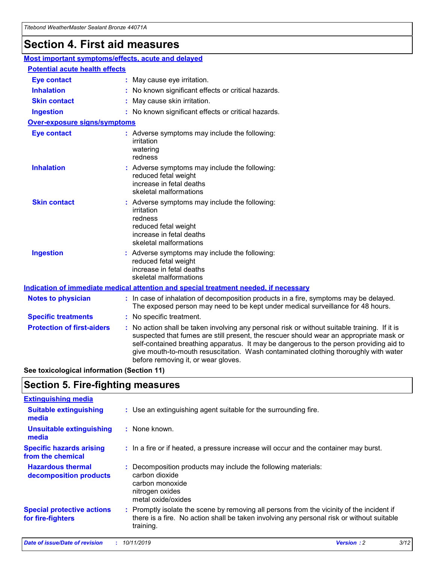## **Section 4. First aid measures**

| Most important symptoms/effects, acute and delayed |  |                                                                                                                                                                                                                                                                                                                                                                                                                 |  |  |
|----------------------------------------------------|--|-----------------------------------------------------------------------------------------------------------------------------------------------------------------------------------------------------------------------------------------------------------------------------------------------------------------------------------------------------------------------------------------------------------------|--|--|
| <b>Potential acute health effects</b>              |  |                                                                                                                                                                                                                                                                                                                                                                                                                 |  |  |
| <b>Eye contact</b>                                 |  | : May cause eye irritation.                                                                                                                                                                                                                                                                                                                                                                                     |  |  |
| <b>Inhalation</b>                                  |  | : No known significant effects or critical hazards.                                                                                                                                                                                                                                                                                                                                                             |  |  |
| <b>Skin contact</b>                                |  | : May cause skin irritation.                                                                                                                                                                                                                                                                                                                                                                                    |  |  |
| <b>Ingestion</b>                                   |  | : No known significant effects or critical hazards.                                                                                                                                                                                                                                                                                                                                                             |  |  |
| Over-exposure signs/symptoms                       |  |                                                                                                                                                                                                                                                                                                                                                                                                                 |  |  |
| <b>Eye contact</b>                                 |  | : Adverse symptoms may include the following:<br>irritation<br>watering<br>redness                                                                                                                                                                                                                                                                                                                              |  |  |
| <b>Inhalation</b>                                  |  | : Adverse symptoms may include the following:<br>reduced fetal weight<br>increase in fetal deaths<br>skeletal malformations                                                                                                                                                                                                                                                                                     |  |  |
| <b>Skin contact</b>                                |  | : Adverse symptoms may include the following:<br>irritation<br>redness<br>reduced fetal weight<br>increase in fetal deaths<br>skeletal malformations                                                                                                                                                                                                                                                            |  |  |
| <b>Ingestion</b>                                   |  | : Adverse symptoms may include the following:<br>reduced fetal weight<br>increase in fetal deaths<br>skeletal malformations                                                                                                                                                                                                                                                                                     |  |  |
|                                                    |  | <b>Indication of immediate medical attention and special treatment needed, if necessary</b>                                                                                                                                                                                                                                                                                                                     |  |  |
| <b>Notes to physician</b>                          |  | : In case of inhalation of decomposition products in a fire, symptoms may be delayed.<br>The exposed person may need to be kept under medical surveillance for 48 hours.                                                                                                                                                                                                                                        |  |  |
| <b>Specific treatments</b>                         |  | : No specific treatment.                                                                                                                                                                                                                                                                                                                                                                                        |  |  |
| <b>Protection of first-aiders</b>                  |  | : No action shall be taken involving any personal risk or without suitable training. If it is<br>suspected that fumes are still present, the rescuer should wear an appropriate mask or<br>self-contained breathing apparatus. It may be dangerous to the person providing aid to<br>give mouth-to-mouth resuscitation. Wash contaminated clothing thoroughly with water<br>before removing it, or wear gloves. |  |  |

**See toxicological information (Section 11)**

### **Section 5. Fire-fighting measures**

| <b>Extinguishing media</b>                             |                                                                                                                                                                                                     |
|--------------------------------------------------------|-----------------------------------------------------------------------------------------------------------------------------------------------------------------------------------------------------|
| <b>Suitable extinguishing</b><br>media                 | : Use an extinguishing agent suitable for the surrounding fire.                                                                                                                                     |
| <b>Unsuitable extinguishing</b><br>media               | $:$ None known.                                                                                                                                                                                     |
| <b>Specific hazards arising</b><br>from the chemical   | : In a fire or if heated, a pressure increase will occur and the container may burst.                                                                                                               |
| <b>Hazardous thermal</b><br>decomposition products     | : Decomposition products may include the following materials:<br>carbon dioxide<br>carbon monoxide<br>nitrogen oxides<br>metal oxide/oxides                                                         |
| <b>Special protective actions</b><br>for fire-fighters | : Promptly isolate the scene by removing all persons from the vicinity of the incident if<br>there is a fire. No action shall be taken involving any personal risk or without suitable<br>training. |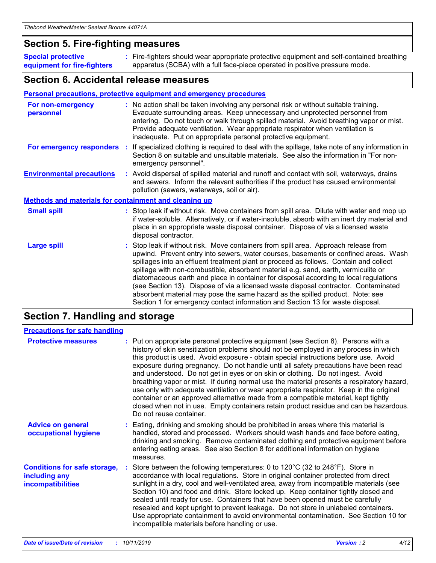### **Section 5. Fire-fighting measures**

**Special protective equipment for fire-fighters** Fire-fighters should wear appropriate protective equipment and self-contained breathing **:** apparatus (SCBA) with a full face-piece operated in positive pressure mode.

### **Section 6. Accidental release measures**

#### **Personal precautions, protective equipment and emergency procedures**

| For non-emergency<br>personnel                               | : No action shall be taken involving any personal risk or without suitable training.<br>Evacuate surrounding areas. Keep unnecessary and unprotected personnel from<br>entering. Do not touch or walk through spilled material. Avoid breathing vapor or mist.<br>Provide adequate ventilation. Wear appropriate respirator when ventilation is<br>inadequate. Put on appropriate personal protective equipment.                                                                                                                                                                                                                                                                                             |
|--------------------------------------------------------------|--------------------------------------------------------------------------------------------------------------------------------------------------------------------------------------------------------------------------------------------------------------------------------------------------------------------------------------------------------------------------------------------------------------------------------------------------------------------------------------------------------------------------------------------------------------------------------------------------------------------------------------------------------------------------------------------------------------|
|                                                              | For emergency responders : If specialized clothing is required to deal with the spillage, take note of any information in<br>Section 8 on suitable and unsuitable materials. See also the information in "For non-<br>emergency personnel".                                                                                                                                                                                                                                                                                                                                                                                                                                                                  |
| <b>Environmental precautions</b>                             | : Avoid dispersal of spilled material and runoff and contact with soil, waterways, drains<br>and sewers. Inform the relevant authorities if the product has caused environmental<br>pollution (sewers, waterways, soil or air).                                                                                                                                                                                                                                                                                                                                                                                                                                                                              |
| <b>Methods and materials for containment and cleaning up</b> |                                                                                                                                                                                                                                                                                                                                                                                                                                                                                                                                                                                                                                                                                                              |
| <b>Small spill</b>                                           | : Stop leak if without risk. Move containers from spill area. Dilute with water and mop up<br>if water-soluble. Alternatively, or if water-insoluble, absorb with an inert dry material and<br>place in an appropriate waste disposal container. Dispose of via a licensed waste<br>disposal contractor.                                                                                                                                                                                                                                                                                                                                                                                                     |
| <b>Large spill</b>                                           | : Stop leak if without risk. Move containers from spill area. Approach release from<br>upwind. Prevent entry into sewers, water courses, basements or confined areas. Wash<br>spillages into an effluent treatment plant or proceed as follows. Contain and collect<br>spillage with non-combustible, absorbent material e.g. sand, earth, vermiculite or<br>diatomaceous earth and place in container for disposal according to local regulations<br>(see Section 13). Dispose of via a licensed waste disposal contractor. Contaminated<br>absorbent material may pose the same hazard as the spilled product. Note: see<br>Section 1 for emergency contact information and Section 13 for waste disposal. |

### **Section 7. Handling and storage**

| <b>Precautions for safe handling</b>                                             |                                                                                                                                                                                                                                                                                                                                                                                                                                                                                                                                                                                                                                                                                                                                                                                                                                                  |
|----------------------------------------------------------------------------------|--------------------------------------------------------------------------------------------------------------------------------------------------------------------------------------------------------------------------------------------------------------------------------------------------------------------------------------------------------------------------------------------------------------------------------------------------------------------------------------------------------------------------------------------------------------------------------------------------------------------------------------------------------------------------------------------------------------------------------------------------------------------------------------------------------------------------------------------------|
| <b>Protective measures</b>                                                       | : Put on appropriate personal protective equipment (see Section 8). Persons with a<br>history of skin sensitization problems should not be employed in any process in which<br>this product is used. Avoid exposure - obtain special instructions before use. Avoid<br>exposure during pregnancy. Do not handle until all safety precautions have been read<br>and understood. Do not get in eyes or on skin or clothing. Do not ingest. Avoid<br>breathing vapor or mist. If during normal use the material presents a respiratory hazard,<br>use only with adequate ventilation or wear appropriate respirator. Keep in the original<br>container or an approved alternative made from a compatible material, kept tightly<br>closed when not in use. Empty containers retain product residue and can be hazardous.<br>Do not reuse container. |
| <b>Advice on general</b><br>occupational hygiene                                 | : Eating, drinking and smoking should be prohibited in areas where this material is<br>handled, stored and processed. Workers should wash hands and face before eating,<br>drinking and smoking. Remove contaminated clothing and protective equipment before<br>entering eating areas. See also Section 8 for additional information on hygiene<br>measures.                                                                                                                                                                                                                                                                                                                                                                                                                                                                                    |
| <b>Conditions for safe storage,</b><br>including any<br><b>incompatibilities</b> | : Store between the following temperatures: 0 to 120 $\degree$ C (32 to 248 $\degree$ F). Store in<br>accordance with local regulations. Store in original container protected from direct<br>sunlight in a dry, cool and well-ventilated area, away from incompatible materials (see<br>Section 10) and food and drink. Store locked up. Keep container tightly closed and<br>sealed until ready for use. Containers that have been opened must be carefully<br>resealed and kept upright to prevent leakage. Do not store in unlabeled containers.<br>Use appropriate containment to avoid environmental contamination. See Section 10 for<br>incompatible materials before handling or use.                                                                                                                                                   |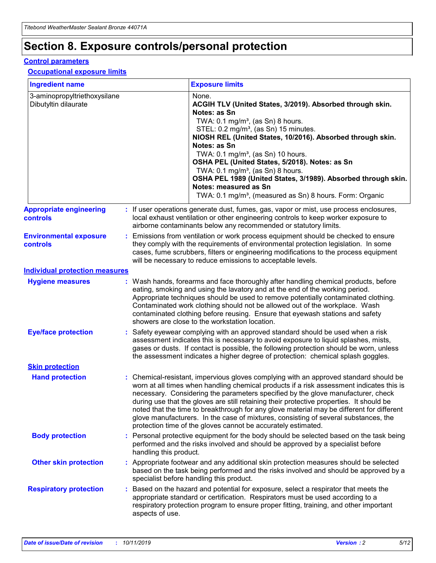## **Section 8. Exposure controls/personal protection**

#### **Control parameters**

### **Occupational exposure limits**

| <b>Ingredient name</b>                               |                        | <b>Exposure limits</b>                                                                                                                                                                                                                                                                                                                                                                                                                                                                                                                                                                                                 |
|------------------------------------------------------|------------------------|------------------------------------------------------------------------------------------------------------------------------------------------------------------------------------------------------------------------------------------------------------------------------------------------------------------------------------------------------------------------------------------------------------------------------------------------------------------------------------------------------------------------------------------------------------------------------------------------------------------------|
| 3-aminopropyltriethoxysilane<br>Dibutyltin dilaurate |                        | None.<br>ACGIH TLV (United States, 3/2019). Absorbed through skin.<br>Notes: as Sn<br>TWA: 0.1 mg/m <sup>3</sup> , (as Sn) 8 hours.<br>STEL: 0.2 mg/m <sup>3</sup> , (as Sn) 15 minutes.<br>NIOSH REL (United States, 10/2016). Absorbed through skin.<br>Notes: as Sn<br>TWA: 0.1 mg/m <sup>3</sup> , (as Sn) 10 hours.<br>OSHA PEL (United States, 5/2018). Notes: as Sn<br>TWA: $0.1 \text{ mg/m}^3$ , (as Sn) 8 hours.<br>OSHA PEL 1989 (United States, 3/1989). Absorbed through skin.<br>Notes: measured as Sn<br>TWA: 0.1 mg/m <sup>3</sup> , (measured as Sn) 8 hours. Form: Organic                           |
| <b>Appropriate engineering</b><br><b>controls</b>    |                        | : If user operations generate dust, fumes, gas, vapor or mist, use process enclosures,<br>local exhaust ventilation or other engineering controls to keep worker exposure to<br>airborne contaminants below any recommended or statutory limits.                                                                                                                                                                                                                                                                                                                                                                       |
| <b>Environmental exposure</b><br><b>controls</b>     |                        | Emissions from ventilation or work process equipment should be checked to ensure<br>they comply with the requirements of environmental protection legislation. In some<br>cases, fume scrubbers, filters or engineering modifications to the process equipment<br>will be necessary to reduce emissions to acceptable levels.                                                                                                                                                                                                                                                                                          |
| <b>Individual protection measures</b>                |                        |                                                                                                                                                                                                                                                                                                                                                                                                                                                                                                                                                                                                                        |
| <b>Hygiene measures</b>                              |                        | : Wash hands, forearms and face thoroughly after handling chemical products, before<br>eating, smoking and using the lavatory and at the end of the working period.<br>Appropriate techniques should be used to remove potentially contaminated clothing.<br>Contaminated work clothing should not be allowed out of the workplace. Wash<br>contaminated clothing before reusing. Ensure that eyewash stations and safety<br>showers are close to the workstation location.                                                                                                                                            |
| <b>Eye/face protection</b>                           |                        | : Safety eyewear complying with an approved standard should be used when a risk<br>assessment indicates this is necessary to avoid exposure to liquid splashes, mists,<br>gases or dusts. If contact is possible, the following protection should be worn, unless<br>the assessment indicates a higher degree of protection: chemical splash goggles.                                                                                                                                                                                                                                                                  |
| <b>Skin protection</b>                               |                        |                                                                                                                                                                                                                                                                                                                                                                                                                                                                                                                                                                                                                        |
| <b>Hand protection</b>                               |                        | : Chemical-resistant, impervious gloves complying with an approved standard should be<br>worn at all times when handling chemical products if a risk assessment indicates this is<br>necessary. Considering the parameters specified by the glove manufacturer, check<br>during use that the gloves are still retaining their protective properties. It should be<br>noted that the time to breakthrough for any glove material may be different for different<br>glove manufacturers. In the case of mixtures, consisting of several substances, the<br>protection time of the gloves cannot be accurately estimated. |
| <b>Body protection</b>                               | handling this product. | : Personal protective equipment for the body should be selected based on the task being<br>performed and the risks involved and should be approved by a specialist before                                                                                                                                                                                                                                                                                                                                                                                                                                              |
| <b>Other skin protection</b>                         |                        | : Appropriate footwear and any additional skin protection measures should be selected<br>based on the task being performed and the risks involved and should be approved by a<br>specialist before handling this product.                                                                                                                                                                                                                                                                                                                                                                                              |
| <b>Respiratory protection</b>                        | aspects of use.        | : Based on the hazard and potential for exposure, select a respirator that meets the<br>appropriate standard or certification. Respirators must be used according to a<br>respiratory protection program to ensure proper fitting, training, and other important                                                                                                                                                                                                                                                                                                                                                       |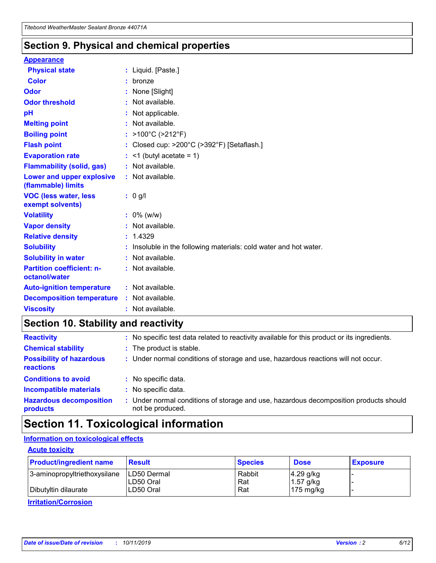### **Section 9. Physical and chemical properties**

#### **Appearance**

| <b>Physical state</b>                             | : Liquid. [Paste.]                                              |
|---------------------------------------------------|-----------------------------------------------------------------|
| <b>Color</b>                                      | bronze                                                          |
| Odor                                              | None [Slight]                                                   |
| <b>Odor threshold</b>                             | $:$ Not available.                                              |
| рH                                                | : Not applicable.                                               |
| <b>Melting point</b>                              | : Not available.                                                |
| <b>Boiling point</b>                              | : $>100^{\circ}$ C ( $>212^{\circ}$ F)                          |
| <b>Flash point</b>                                | : Closed cup: $>200^{\circ}$ C ( $>392^{\circ}$ F) [Setaflash.] |
| <b>Evaporation rate</b>                           | $:$ <1 (butyl acetate = 1)                                      |
| <b>Flammability (solid, gas)</b>                  | : Not available.                                                |
| Lower and upper explosive<br>(flammable) limits   | $:$ Not available.                                              |
| <b>VOC (less water, less</b><br>exempt solvents)  | : 0 g/l                                                         |
| <b>Volatility</b>                                 | $: 0\%$ (w/w)                                                   |
| <b>Vapor density</b>                              | : Not available.                                                |
| <b>Relative density</b>                           |                                                                 |
|                                                   | : 1.4329                                                        |
| <b>Solubility</b>                                 | Insoluble in the following materials: cold water and hot water. |
| <b>Solubility in water</b>                        | : Not available.                                                |
| <b>Partition coefficient: n-</b><br>octanol/water | $:$ Not available.                                              |
| <b>Auto-ignition temperature</b>                  | : Not available.                                                |
| <b>Decomposition temperature</b>                  | $:$ Not available.                                              |

### **Section 10. Stability and reactivity**

| <b>Reactivity</b>                            |    | : No specific test data related to reactivity available for this product or its ingredients.            |
|----------------------------------------------|----|---------------------------------------------------------------------------------------------------------|
| <b>Chemical stability</b>                    |    | : The product is stable.                                                                                |
| <b>Possibility of hazardous</b><br>reactions |    | : Under normal conditions of storage and use, hazardous reactions will not occur.                       |
| <b>Conditions to avoid</b>                   |    | : No specific data.                                                                                     |
| <b>Incompatible materials</b>                | ٠. | No specific data.                                                                                       |
| <b>Hazardous decomposition</b><br>products   | ÷. | Under normal conditions of storage and use, hazardous decomposition products should<br>not be produced. |

## **Section 11. Toxicological information**

### **Information on toxicological effects**

### **Acute toxicity**

| <b>Product/ingredient name</b> | <b>Result</b>           | <b>Species</b> | <b>Dose</b>                | <b>Exposure</b> |
|--------------------------------|-------------------------|----------------|----------------------------|-----------------|
| 3-aminopropyltriethoxysilane   | <b>ILD50 Dermal</b>     | Rabbit         | 4.29 g/kg                  |                 |
| Dibutyltin dilaurate           | ILD50 Oral<br>LD50 Oral | Rat<br>Rat     | $1.57$ g/kg<br>175 $mg/kg$ |                 |
|                                |                         |                |                            |                 |

**Irritation/Corrosion**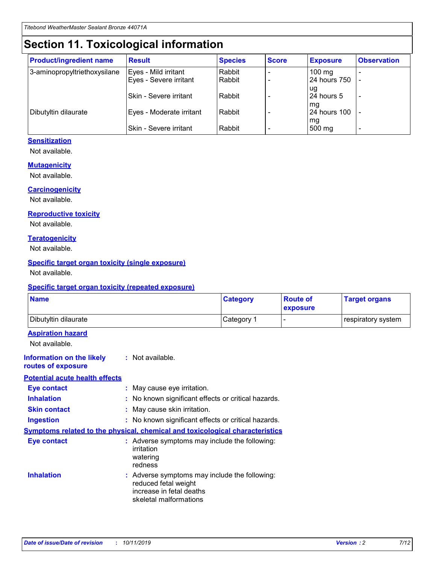## **Section 11. Toxicological information**

| <b>Product/ingredient name</b> | <b>Result</b>            | <b>Species</b> | <b>Score</b> | <b>Exposure</b>           | <b>Observation</b> |
|--------------------------------|--------------------------|----------------|--------------|---------------------------|--------------------|
| 3-aminopropyltriethoxysilane   | Eyes - Mild irritant     | Rabbit         |              | $100$ mg                  |                    |
|                                | Eyes - Severe irritant   | Rabbit         |              | 24 hours 750              |                    |
|                                |                          |                |              | ug                        |                    |
|                                | Skin - Severe irritant   | Rabbit         |              | 24 hours 5                | -                  |
| Dibutyltin dilaurate           | Eyes - Moderate irritant | Rabbit         |              | mq<br><b>24 hours 100</b> |                    |
|                                |                          |                |              | mg                        |                    |
|                                | Skin - Severe irritant   | Rabbit         |              | 500 mg                    |                    |

### **Sensitization**

Not available.

#### **Mutagenicity**

Not available.

#### **Carcinogenicity**

Not available.

#### **Reproductive toxicity**

Not available.

#### **Teratogenicity**

Not available.

#### **Specific target organ toxicity (single exposure)**

Not available.

#### **Specific target organ toxicity (repeated exposure)**

| <b>Name</b>                                                                  |                                                                            | <b>Category</b>                                     | <b>Route of</b><br>exposure | <b>Target organs</b> |
|------------------------------------------------------------------------------|----------------------------------------------------------------------------|-----------------------------------------------------|-----------------------------|----------------------|
| Dibutyltin dilaurate                                                         |                                                                            | Category 1                                          | -                           | respiratory system   |
| <b>Aspiration hazard</b><br>Not available.                                   |                                                                            |                                                     |                             |                      |
| <b>Information on the likely</b><br>routes of exposure                       | : Not available.                                                           |                                                     |                             |                      |
| <b>Potential acute health effects</b>                                        |                                                                            |                                                     |                             |                      |
| <b>Eye contact</b>                                                           | : May cause eye irritation.                                                |                                                     |                             |                      |
| <b>Inhalation</b>                                                            |                                                                            | : No known significant effects or critical hazards. |                             |                      |
| <b>Skin contact</b>                                                          | : May cause skin irritation.                                               |                                                     |                             |                      |
| <b>Ingestion</b>                                                             |                                                                            | : No known significant effects or critical hazards. |                             |                      |
| Symptoms related to the physical, chemical and toxicological characteristics |                                                                            |                                                     |                             |                      |
| <b>Eye contact</b>                                                           | irritation<br>watering<br>redness                                          | : Adverse symptoms may include the following:       |                             |                      |
| <b>Inhalation</b>                                                            | reduced fetal weight<br>increase in fetal deaths<br>skeletal malformations | : Adverse symptoms may include the following:       |                             |                      |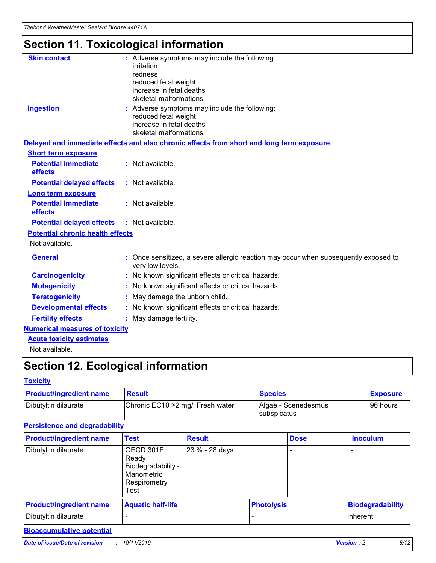*Titebond WeatherMaster Sealant Bronze 44071A*

# **Section 11. Toxicological information**

| <b>Skin contact</b>                     | : Adverse symptoms may include the following:<br>irritation<br>redness<br>reduced fetal weight<br>increase in fetal deaths<br>skeletal malformations |  |
|-----------------------------------------|------------------------------------------------------------------------------------------------------------------------------------------------------|--|
| <b>Ingestion</b>                        | : Adverse symptoms may include the following:<br>reduced fetal weight<br>increase in fetal deaths<br>skeletal malformations                          |  |
|                                         | Delayed and immediate effects and also chronic effects from short and long term exposure                                                             |  |
| <b>Short term exposure</b>              |                                                                                                                                                      |  |
| <b>Potential immediate</b><br>effects   | : Not available.                                                                                                                                     |  |
| <b>Potential delayed effects</b>        | : Not available.                                                                                                                                     |  |
| <b>Long term exposure</b>               |                                                                                                                                                      |  |
| <b>Potential immediate</b><br>effects   | : Not available.                                                                                                                                     |  |
| <b>Potential delayed effects</b>        | : Not available.                                                                                                                                     |  |
| <b>Potential chronic health effects</b> |                                                                                                                                                      |  |
| Not available.                          |                                                                                                                                                      |  |
| <b>General</b>                          | : Once sensitized, a severe allergic reaction may occur when subsequently exposed to<br>very low levels.                                             |  |
| <b>Carcinogenicity</b>                  | : No known significant effects or critical hazards.                                                                                                  |  |
| <b>Mutagenicity</b>                     | : No known significant effects or critical hazards.                                                                                                  |  |
| <b>Teratogenicity</b>                   | May damage the unborn child.                                                                                                                         |  |
| <b>Developmental effects</b>            | : No known significant effects or critical hazards.                                                                                                  |  |
| <b>Fertility effects</b>                | May damage fertility.                                                                                                                                |  |
| <b>Numerical measures of toxicity</b>   |                                                                                                                                                      |  |
| <b>Acute toxicity estimates</b>         |                                                                                                                                                      |  |
| الملحلة والمستنصر بالمسلط               |                                                                                                                                                      |  |

Not available.

## **Section 12. Ecological information**

#### **Toxicity**

| <b>Product/ingredient name</b> | <b>Result</b>                     | <b>Species</b>                       | <b>Exposure</b> |
|--------------------------------|-----------------------------------|--------------------------------------|-----------------|
| Dibutyltin dilaurate           | Chronic EC10 > 2 mg/l Fresh water | Algae - Scenedesmus<br>I subspicatus | l 96 hours      |

### **Persistence and degradability**

| <b>Product/ingredient name</b> | <b>Test</b>                                                                    | <b>Result</b>  |  | <b>Dose</b>       | <b>Inoculum</b>         |
|--------------------------------|--------------------------------------------------------------------------------|----------------|--|-------------------|-------------------------|
| Dibutyltin dilaurate           | OECD 301F<br>Ready<br>Biodegradability -<br>Manometric<br>Respirometry<br>Test | 23 % - 28 days |  |                   |                         |
| <b>Product/ingredient name</b> | <b>Aquatic half-life</b>                                                       |                |  | <b>Photolysis</b> | <b>Biodegradability</b> |
| Dibutyltin dilaurate           |                                                                                |                |  |                   | Inherent                |

### **Bioaccumulative potential**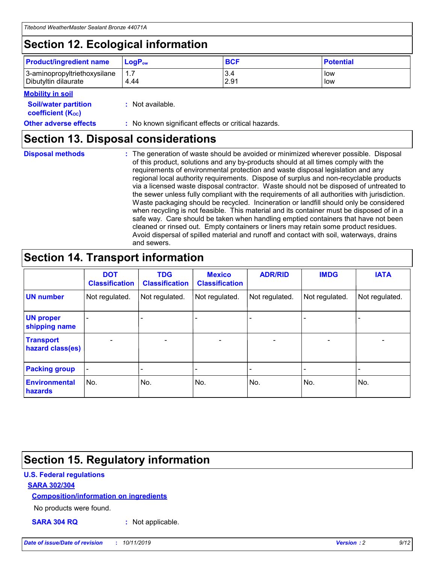## **Section 12. Ecological information**

| <b>Product/ingredient name</b>                       | ∣LoqP <sub>ow</sub> | <b>BCF</b>  | <b>Potential</b> |
|------------------------------------------------------|---------------------|-------------|------------------|
| 3-aminopropyltriethoxysilane<br>Dibutyltin dilaurate | 1.1<br>4.44         | 3.4<br>2.91 | low<br>low       |

#### **Mobility in soil**

| <i></i>                                                       |                                                     |
|---------------------------------------------------------------|-----------------------------------------------------|
| <b>Soil/water partition</b><br>coefficient (K <sub>oc</sub> ) | : Not available.                                    |
| <b>Other adverse effects</b>                                  | : No known significant effects or critical hazards. |

### **Section 13. Disposal considerations**

| <b>Disposal methods</b> |  |  |
|-------------------------|--|--|

**Disposal methods** : The generation of waste should be avoided or minimized wherever possible. Disposal of this product, solutions and any by-products should at all times comply with the requirements of environmental protection and waste disposal legislation and any regional local authority requirements. Dispose of surplus and non-recyclable products via a licensed waste disposal contractor. Waste should not be disposed of untreated to the sewer unless fully compliant with the requirements of all authorities with jurisdiction. Waste packaging should be recycled. Incineration or landfill should only be considered when recycling is not feasible. This material and its container must be disposed of in a safe way. Care should be taken when handling emptied containers that have not been cleaned or rinsed out. Empty containers or liners may retain some product residues. Avoid dispersal of spilled material and runoff and contact with soil, waterways, drains and sewers.

## **Section 14. Transport information**

|                                      | <b>DOT</b><br><b>Classification</b> | <b>TDG</b><br><b>Classification</b> | <b>Mexico</b><br><b>Classification</b> | <b>ADR/RID</b> | <b>IMDG</b>              | <b>IATA</b>              |
|--------------------------------------|-------------------------------------|-------------------------------------|----------------------------------------|----------------|--------------------------|--------------------------|
| <b>UN number</b>                     | Not regulated.                      | Not regulated.                      | Not regulated.                         | Not regulated. | Not regulated.           | Not regulated.           |
| <b>UN proper</b><br>shipping name    | $\blacksquare$                      |                                     |                                        |                |                          |                          |
| <b>Transport</b><br>hazard class(es) | $\blacksquare$                      | $\overline{\phantom{a}}$            | $\blacksquare$                         | $\blacksquare$ | $\overline{\phantom{a}}$ | $\overline{\phantom{0}}$ |
| <b>Packing group</b>                 | $\overline{\phantom{a}}$            | $\overline{\phantom{0}}$            | $\overline{\phantom{a}}$               | -              | $\overline{\phantom{0}}$ | $\overline{\phantom{a}}$ |
| <b>Environmental</b><br>hazards      | No.                                 | No.                                 | No.                                    | No.            | No.                      | No.                      |

## **Section 15. Regulatory information**

### **U.S. Federal regulations**

### **SARA 302/304**

### **Composition/information on ingredients**

No products were found.

**SARA 304 RQ :** Not applicable.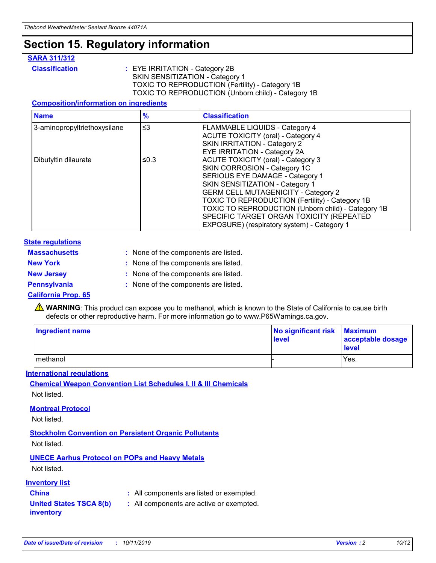## **Section 15. Regulatory information**

### **SARA 311/312**

**Classification :** EYE IRRITATION - Category 2B SKIN SENSITIZATION - Category 1 TOXIC TO REPRODUCTION (Fertility) - Category 1B TOXIC TO REPRODUCTION (Unborn child) - Category 1B

#### **Composition/information on ingredients**

| <b>Name</b>                  | $\frac{9}{6}$ | <b>Classification</b>                                  |
|------------------------------|---------------|--------------------------------------------------------|
| 3-aminopropyltriethoxysilane | $\leq$ 3      | <b>FLAMMABLE LIQUIDS - Category 4</b>                  |
|                              |               | <b>ACUTE TOXICITY (oral) - Category 4</b>              |
|                              |               | SKIN IRRITATION - Category 2                           |
|                              |               | <b>EYE IRRITATION - Category 2A</b>                    |
| Dibutyltin dilaurate         | ≤0.3          | <b>ACUTE TOXICITY (oral) - Category 3</b>              |
|                              |               | SKIN CORROSION - Category 1C                           |
|                              |               | SERIOUS EYE DAMAGE - Category 1                        |
|                              |               | SKIN SENSITIZATION - Category 1                        |
|                              |               | <b>GERM CELL MUTAGENICITY - Category 2</b>             |
|                              |               | <b>TOXIC TO REPRODUCTION (Fertility) - Category 1B</b> |
|                              |               | TOXIC TO REPRODUCTION (Unborn child) - Category 1B     |
|                              |               | SPECIFIC TARGET ORGAN TOXICITY (REPEATED               |
|                              |               | EXPOSURE) (respiratory system) - Category 1            |

#### **State regulations**

| <b>Massachusetts</b> | : None of the components are listed. |
|----------------------|--------------------------------------|
| <b>New York</b>      | : None of the components are listed. |
| <b>New Jersey</b>    | : None of the components are listed. |
| <b>Pennsylvania</b>  | : None of the components are listed. |

#### **California Prop. 65**

**A** WARNING: This product can expose you to methanol, which is known to the State of California to cause birth defects or other reproductive harm. For more information go to www.P65Warnings.ca.gov.

| <b>Ingredient name</b> | No significant risk Maximum<br>level | acceptable dosage<br>level |
|------------------------|--------------------------------------|----------------------------|
| methanol               |                                      | Yes.                       |

#### **International regulations**

**Chemical Weapon Convention List Schedules I, II & III Chemicals** Not listed.

#### **Montreal Protocol**

Not listed.

**Stockholm Convention on Persistent Organic Pollutants**

Not listed.

### **UNECE Aarhus Protocol on POPs and Heavy Metals**

Not listed.

### **Inventory list**

### **China :** All components are listed or exempted.

**United States TSCA 8(b) inventory :** All components are active or exempted.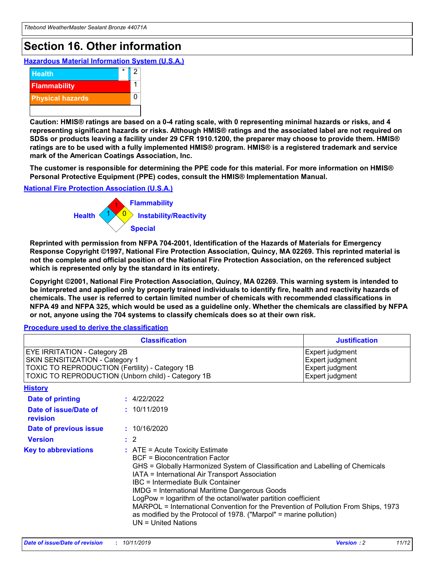## **Section 16. Other information**

**Hazardous Material Information System (U.S.A.)**



**Caution: HMIS® ratings are based on a 0-4 rating scale, with 0 representing minimal hazards or risks, and 4 representing significant hazards or risks. Although HMIS® ratings and the associated label are not required on SDSs or products leaving a facility under 29 CFR 1910.1200, the preparer may choose to provide them. HMIS® ratings are to be used with a fully implemented HMIS® program. HMIS® is a registered trademark and service mark of the American Coatings Association, Inc.**

**The customer is responsible for determining the PPE code for this material. For more information on HMIS® Personal Protective Equipment (PPE) codes, consult the HMIS® Implementation Manual.**

#### **National Fire Protection Association (U.S.A.)**



**Reprinted with permission from NFPA 704-2001, Identification of the Hazards of Materials for Emergency Response Copyright ©1997, National Fire Protection Association, Quincy, MA 02269. This reprinted material is not the complete and official position of the National Fire Protection Association, on the referenced subject which is represented only by the standard in its entirety.**

**Copyright ©2001, National Fire Protection Association, Quincy, MA 02269. This warning system is intended to be interpreted and applied only by properly trained individuals to identify fire, health and reactivity hazards of chemicals. The user is referred to certain limited number of chemicals with recommended classifications in NFPA 49 and NFPA 325, which would be used as a guideline only. Whether the chemicals are classified by NFPA or not, anyone using the 704 systems to classify chemicals does so at their own risk.**

**Procedure used to derive the classification**

|                                                                                                                    | <b>Classification</b>                                                                                                                            | <b>Justification</b>                                                                                                                                                                                                                                                                                                                                                                                                 |  |
|--------------------------------------------------------------------------------------------------------------------|--------------------------------------------------------------------------------------------------------------------------------------------------|----------------------------------------------------------------------------------------------------------------------------------------------------------------------------------------------------------------------------------------------------------------------------------------------------------------------------------------------------------------------------------------------------------------------|--|
| EYE IRRITATION - Category 2B<br>SKIN SENSITIZATION - Category 1<br>TOXIC TO REPRODUCTION (Fertility) - Category 1B | TOXIC TO REPRODUCTION (Unborn child) - Category 1B                                                                                               | Expert judgment<br>Expert judgment<br>Expert judgment<br>Expert judgment                                                                                                                                                                                                                                                                                                                                             |  |
| <b>History</b>                                                                                                     |                                                                                                                                                  |                                                                                                                                                                                                                                                                                                                                                                                                                      |  |
| Date of printing                                                                                                   | : 4/22/2022                                                                                                                                      |                                                                                                                                                                                                                                                                                                                                                                                                                      |  |
| Date of issue/Date of<br>revision                                                                                  | : 10/11/2019                                                                                                                                     |                                                                                                                                                                                                                                                                                                                                                                                                                      |  |
| Date of previous issue                                                                                             | : 10/16/2020                                                                                                                                     |                                                                                                                                                                                                                                                                                                                                                                                                                      |  |
| <b>Version</b>                                                                                                     | $\therefore$ 2                                                                                                                                   |                                                                                                                                                                                                                                                                                                                                                                                                                      |  |
| <b>Key to abbreviations</b>                                                                                        | $\therefore$ ATE = Acute Toxicity Estimate<br><b>BCF</b> = Bioconcentration Factor<br>IBC = Intermediate Bulk Container<br>$UN = United Nations$ | GHS = Globally Harmonized System of Classification and Labelling of Chemicals<br>IATA = International Air Transport Association<br><b>IMDG = International Maritime Dangerous Goods</b><br>LogPow = logarithm of the octanol/water partition coefficient<br>MARPOL = International Convention for the Prevention of Pollution From Ships, 1973<br>as modified by the Protocol of 1978. ("Marpol" = marine pollution) |  |